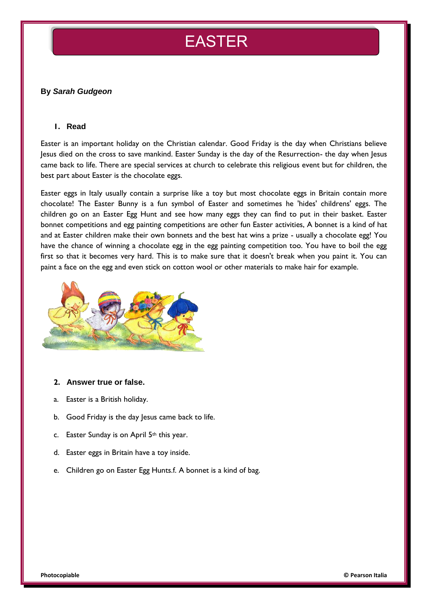# EASTER

## **By** *Sarah Gudgeon*

#### **1. Read**

Easter is an important holiday on the Christian calendar. Good Friday is the day when Christians believe Jesus died on the cross to save mankind. Easter Sunday is the day of the Resurrection- the day when Jesus came back to life. There are special services at church to celebrate this religious event but for children, the best part about Easter is the chocolate eggs.

Easter eggs in Italy usually contain a surprise like a toy but most chocolate eggs in Britain contain more chocolate! The Easter Bunny is a fun symbol of Easter and sometimes he 'hides' childrens' eggs. The children go on an Easter Egg Hunt and see how many eggs they can find to put in their basket. Easter bonnet competitions and egg painting competitions are other fun Easter activities, A bonnet is a kind of hat and at Easter children make their own bonnets and the best hat wins a prize - usually a chocolate egg! You have the chance of winning a chocolate egg in the egg painting competition too. You have to boil the egg first so that it becomes very hard. This is to make sure that it doesn't break when you paint it. You can paint a face on the egg and even stick on cotton wool or other materials to make hair for example.



#### **2. Answer true or false.**

- a. Easter is a British holiday.
- b. Good Friday is the day Jesus came back to life.
- c. Easter Sunday is on April  $5<sup>th</sup>$  this year.
- d. Easter eggs in Britain have a toy inside.
- e. Children go on Easter Egg Hunts.f. A bonnet is a kind of bag.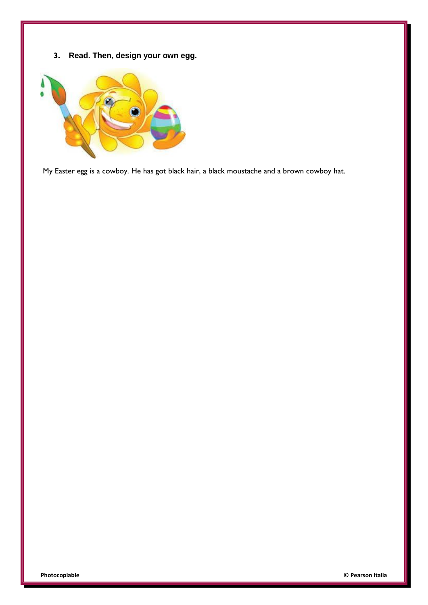**3. Read. Then, design your own egg.**



My Easter egg is a cowboy. He has got black hair, a black moustache and a brown cowboy hat.